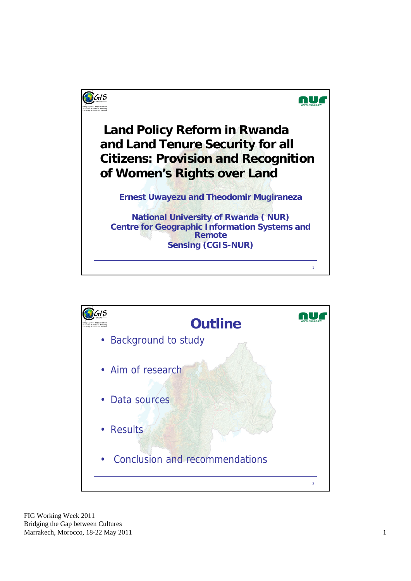

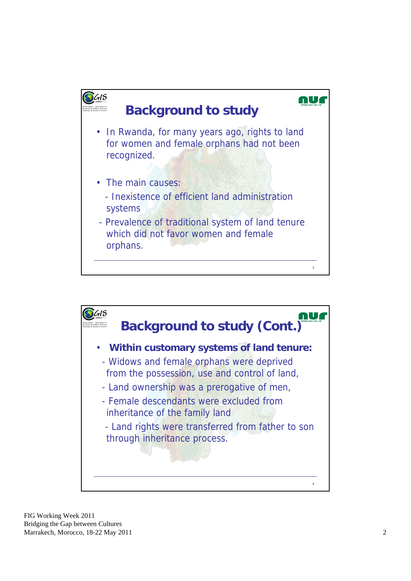

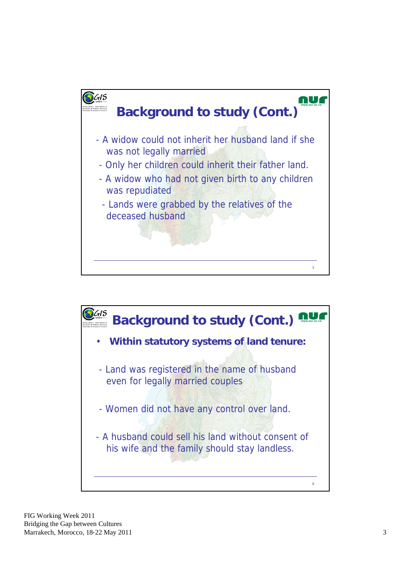

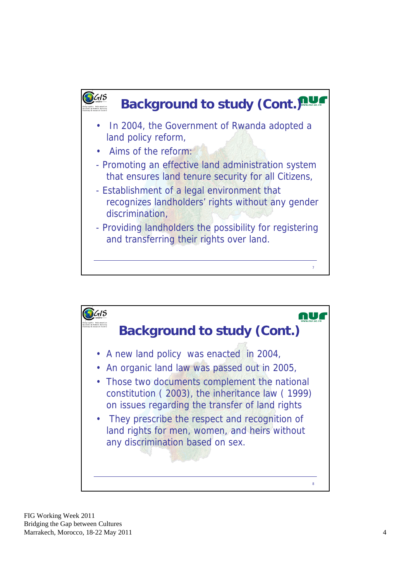

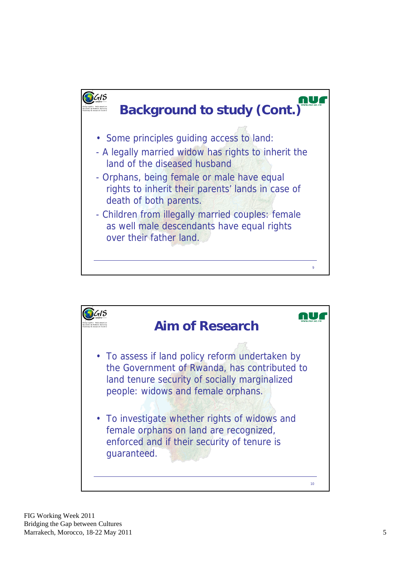

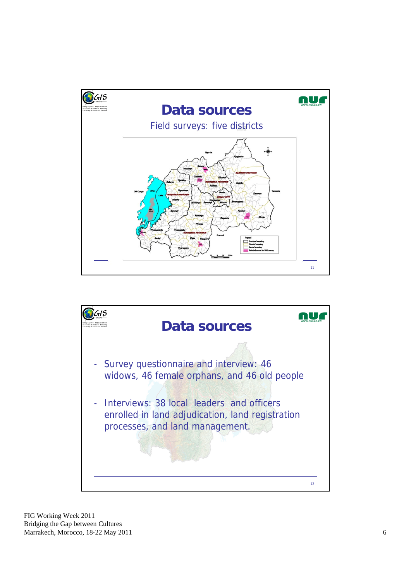

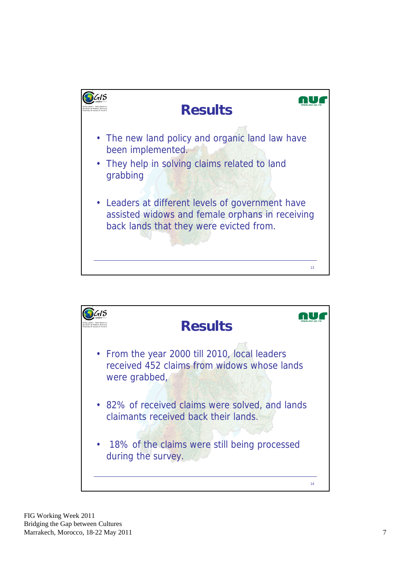

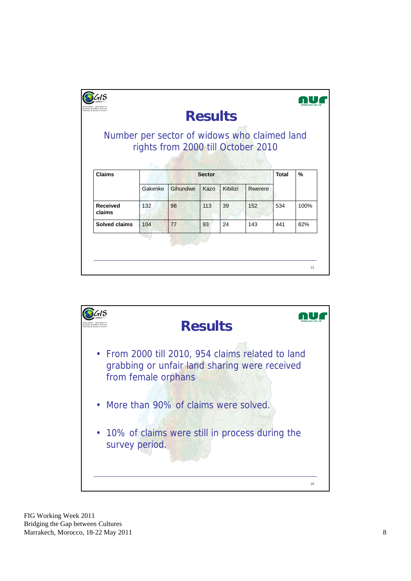| training & research Centre                   |               |                                    | <b>Results</b> |          |         |     |      |
|----------------------------------------------|---------------|------------------------------------|----------------|----------|---------|-----|------|
| Number per sector of widows who claimed land |               | rights from 2000 till October 2010 |                |          |         |     |      |
| <b>Claims</b>                                | <b>Sector</b> |                                    |                |          |         |     | %    |
|                                              | Gakenke       | Gihundwe                           | Kazo           | Kibilizi | Rwerere |     |      |
| <b>Received</b><br>claims                    | 132           | 98                                 | 113            | 39       | 152     | 534 | 100% |
| Solved claims                                | 104           | 77                                 | 93             | 24       | 143     | 441 | 82%  |
|                                              |               |                                    |                |          |         |     |      |

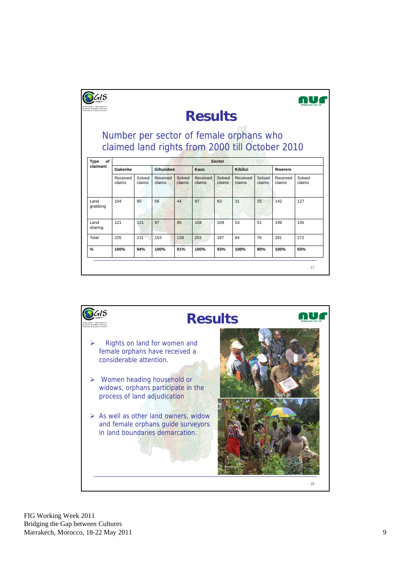| Geographic Information<br>Systems & Remote Sensing<br>training & research Centre |                                                                                            |                  |                    |                  | <b>Results</b>     |                  |                    |                  |                    |                  |
|----------------------------------------------------------------------------------|--------------------------------------------------------------------------------------------|------------------|--------------------|------------------|--------------------|------------------|--------------------|------------------|--------------------|------------------|
|                                                                                  | Number per sector of female orphans who<br>claimed land rights from 2000 till October 2010 |                  |                    |                  |                    |                  |                    |                  |                    |                  |
| <b>Type</b><br>of<br>claimant                                                    | <b>Sector</b>                                                                              |                  |                    |                  |                    |                  |                    |                  |                    |                  |
|                                                                                  | Gakenke                                                                                    |                  | Gihundwe           |                  | Kazo               |                  | Kibilizi           |                  | Rwerere            |                  |
|                                                                                  | Received<br>claims                                                                         | Solved<br>claims | Received<br>claims | Solved<br>claims | Received<br>claims | Solved<br>claims | Received<br>claims | Solved<br>claims | Received<br>claims | Solved<br>claims |
| Land<br>grabbing                                                                 | 104                                                                                        | 90               | 56                 | 44               | 97                 | 83               | 31                 | 25               | 142                | 127              |
| Land                                                                             | 121                                                                                        | 121              | 97                 | 95               | 104                | 104              | 53                 | 51               | 149                | 145              |
| sharing                                                                          |                                                                                            |                  | 153                | 139              | 201                | 187              | 84                 | 76               | 291                | 272              |
| Total                                                                            | 225                                                                                        | 211              |                    |                  |                    |                  |                    |                  |                    |                  |

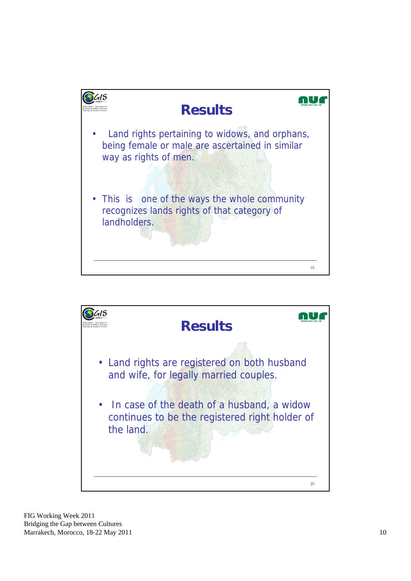

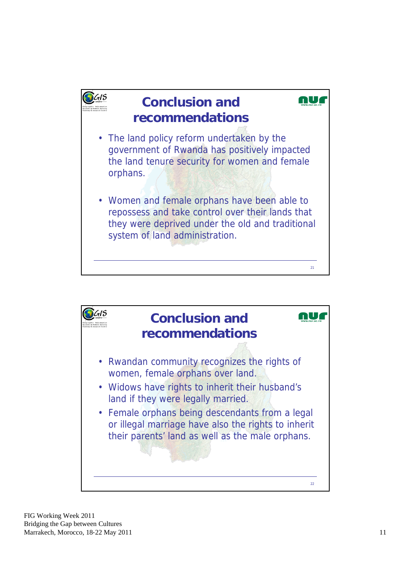

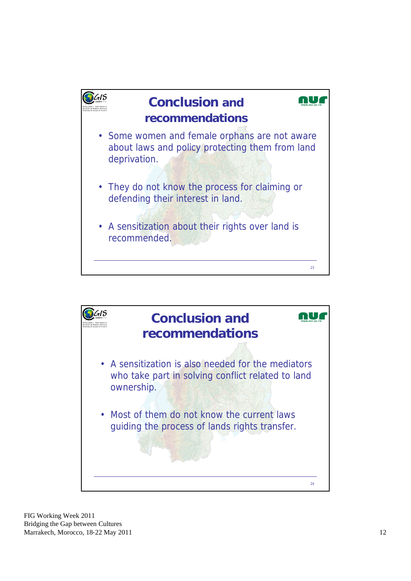